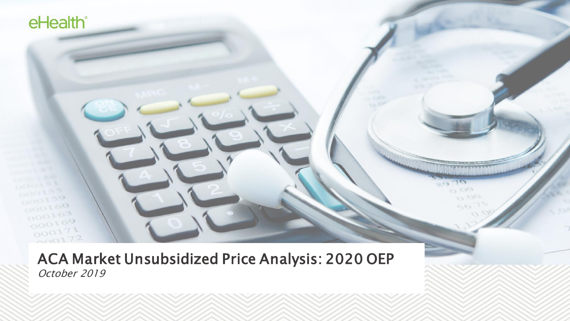ACA Market Unsubsidized Price Analysis: 2020 OEP October 2019

 $0.00$  $O$   $_{OL}$ 

 $\mathcal{L}_{\infty}$  (

eHealth®

 $000100$ 

 $000163$  $000169$  $000171$  $000172$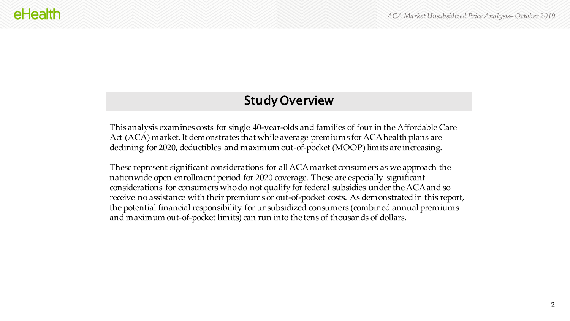## Study Overview

This analysis examines costs for single 40-year-olds and families of four in the Affordable Care Act (ACA) market. It demonstrates that while average premiums for ACA health plans are declining for 2020, deductibles and maximum out-of-pocket (MOOP) limits are increasing.

These represent significant considerations for all ACA market consumers as we approach the nationwide open enrollment period for 2020 coverage. These are especially significant considerations for consumers who do not qualify for federal subsidies under the ACA and so receive no assistance with their premiums or out-of-pocket costs. As demonstrated in this report, the potential financial responsibility for unsubsidized consumers (combined annual premiums and maximum out-of-pocket limits) can run into the tens of thousands of dollars.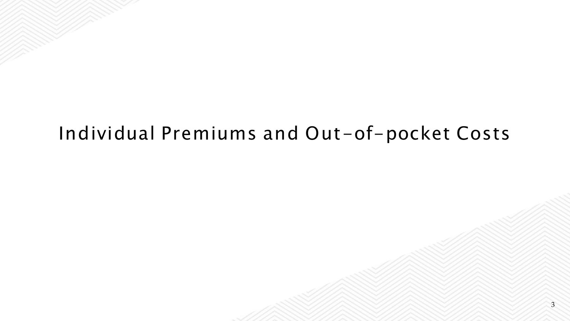# Individual Premiums and Out-of-pocket Costs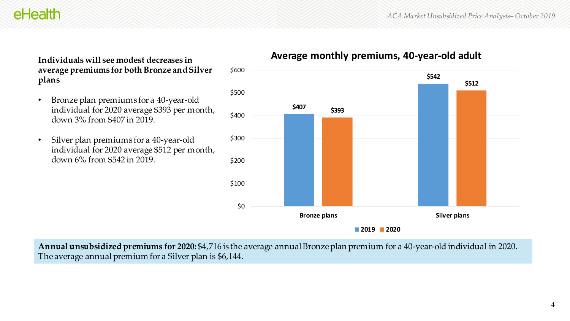eHealth

**Individuals will see modest decreases in average premiums for both Bronze and Silver plans**

- Bronze plan premiums for a 40-year-old individual for 2020 average \$393 per month, down 3% from \$407 in 2019.
- Silver plan premiums for a 40-year-old individual for 2020 average \$512 per month, down 6% from \$542 in 2019.



### **Average monthly premiums, 40-year-old adult**

**Annual unsubsidized premiums for 2020:** \$4,716 is the average annual Bronze plan premium for a 40-year-old individual in 2020. The average annual premium for a Silver plan is \$6,144.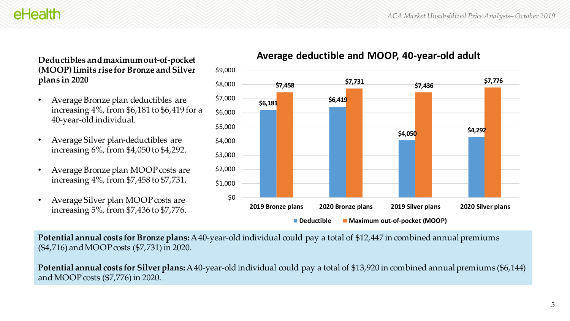**\$4,050 \$4,292**

## eHealth

**Deductibles and maximum out-of-pocket (MOOP) limits rise for Bronze and Silver plans in 2020**

- Average Bronze plan deductibles are increasing 4%, from \$6,181 to \$6,419 for a 40-year-old individual.
- Average Silver plan deductibles are increasing 6%, from \$4,050 to \$4,292.
- Average Bronze plan MOOP costs are increasing 4%, from \$7,458 to \$7,731.
- Average Silver plan MOOP costs are increasing 5%, from \$7,436 to \$7,776.



**Potential annual costs for Bronze plans:** A 40-year-old individual could pay a total of \$12,447 in combined annual premiums (\$4,716) and MOOP costs (\$7,731) in 2020.

\$0

\$1,000

\$2,000

\$3,000

\$4,000

\$5,000

\$6,000

\$7,000

\$8,000

\$9,000

**Potential annual costs for Silver plans:** A 40-year-old individual could pay a total of \$13,920 in combined annual premiums (\$6,144) and MOOP costs (\$7,776) in 2020.

**\$6,181 \$6,419**

### **Average deductible and MOOP, 40-year-old adult**

**\$7,458 \$7,731 \$7,436 \$7,776**

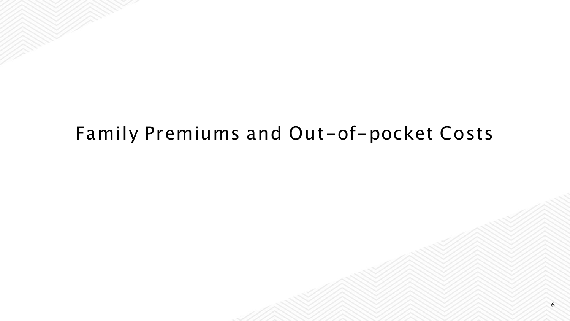## Family Premiums and Out-of-pocket Costs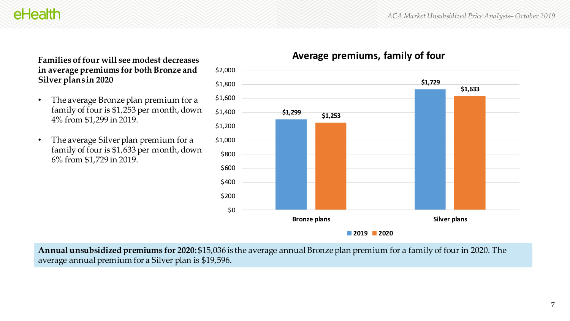## eHealth

**Families of four will see modest decreases in average premiums for both Bronze and Silver plans in 2020**

- The average Bronze plan premium for a family of four is \$1,253 per month, down 4% from \$1,299 in 2019.
- The average Silver plan premium for a family of four is \$1,633 per month, down 6% from \$1,729 in 2019.



### **Average premiums, family of four**

**Annual unsubsidized premiums for 2020:** \$15,036 is the average annual Bronze plan premium for a family of four in 2020. The average annual premium for a Silver plan is \$19,596.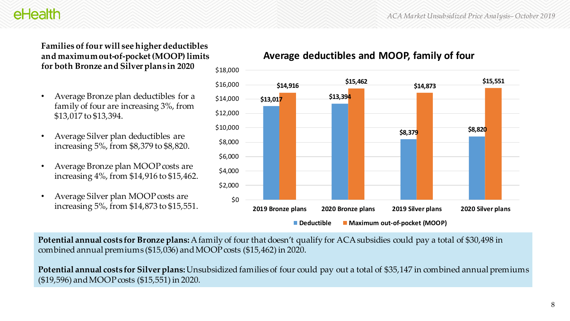## eHealth

#### **Families of four will see higher deductibles and maximum out-of-pocket (MOOP) limits for both Bronze and Silver plans in 2020**

- Average Bronze plan deductibles for a family of four are increasing 3%, from \$13,017 to \$13,394.
- Average Silver plan deductibles are increasing 5%, from \$8,379 to \$8,820.
- Average Bronze plan MOOP costs are increasing 4%, from \$14,916 to \$15,462.
- Average Silver plan MOOP costs are increasing 5%, from \$14,873 to \$15,551.





**Potential annual costs for Bronze plans:** A family of four that doesn't qualify for ACA subsidies could pay a total of \$30,498 in combined annual premiums (\$15,036) and MOOP costs (\$15,462) in 2020.

**Potential annual costs for Silver plans:** Unsubsidized families of four could pay out a total of \$35,147 in combined annual premiums (\$19,596) and MOOP costs (\$15,551) in 2020.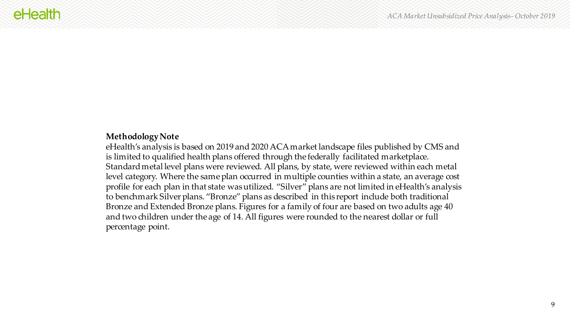#### **Methodology Note**

eHealth's analysis is based on 2019 and 2020 ACA market landscape files published by CMS and is limited to qualified health plans offered through the federally facilitated marketplace. Standard metal level plans were reviewed. All plans, by state, were reviewed within each metal level category. Where the same plan occurred in multiple counties within a state, an average cost profile for each plan in that state was utilized. "Silver" plans are not limited in eHealth's analysis to benchmark Silver plans. "Bronze" plans as described in this report include both traditional Bronze and Extended Bronze plans. Figures for a family of four are based on two adults age 40 and two children under the age of 14. All figures were rounded to the nearest dollar or full percentage point.